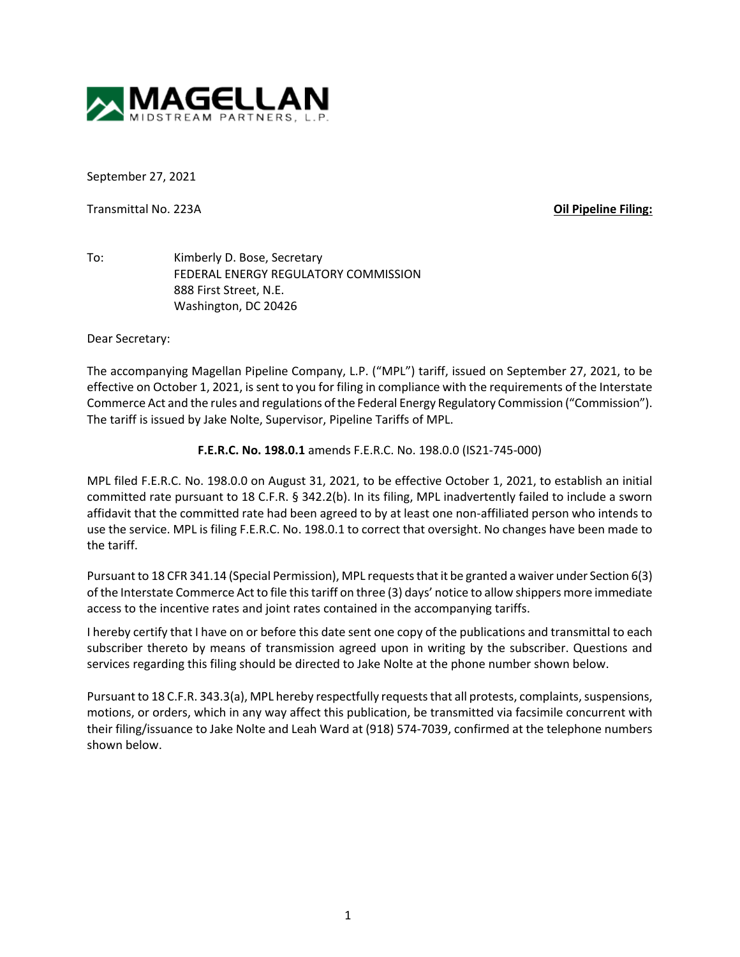

September 27, 2021

Transmittal No. 223A **Oil Pipeline Filing:**

To: Kimberly D. Bose, Secretary FEDERAL ENERGY REGULATORY COMMISSION 888 First Street, N.E. Washington, DC 20426

Dear Secretary:

The accompanying Magellan Pipeline Company, L.P. ("MPL") tariff, issued on September 27, 2021, to be effective on October 1, 2021, is sent to you for filing in compliance with the requirements of the Interstate Commerce Act and the rules and regulations of the Federal Energy Regulatory Commission ("Commission"). The tariff is issued by Jake Nolte, Supervisor, Pipeline Tariffs of MPL.

**F.E.R.C. No. 198.0.1** amends F.E.R.C. No. 198.0.0 (IS21-745-000)

MPL filed F.E.R.C. No. 198.0.0 on August 31, 2021, to be effective October 1, 2021, to establish an initial committed rate pursuant to 18 C.F.R. § 342.2(b). In its filing, MPL inadvertently failed to include a sworn affidavit that the committed rate had been agreed to by at least one non-affiliated person who intends to use the service. MPL is filing F.E.R.C. No. 198.0.1 to correct that oversight. No changes have been made to the tariff.

Pursuant to 18 CFR 341.14 (Special Permission), MPL requests that it be granted a waiver under Section 6(3) of the Interstate Commerce Act to file this tariff on three (3) days' notice to allow shippers more immediate access to the incentive rates and joint rates contained in the accompanying tariffs.

I hereby certify that I have on or before this date sent one copy of the publications and transmittal to each subscriber thereto by means of transmission agreed upon in writing by the subscriber. Questions and services regarding this filing should be directed to Jake Nolte at the phone number shown below.

Pursuant to 18 C.F.R. 343.3(a), MPL hereby respectfully requests that all protests, complaints, suspensions, motions, or orders, which in any way affect this publication, be transmitted via facsimile concurrent with their filing/issuance to Jake Nolte and Leah Ward at (918) 574-7039, confirmed at the telephone numbers shown below.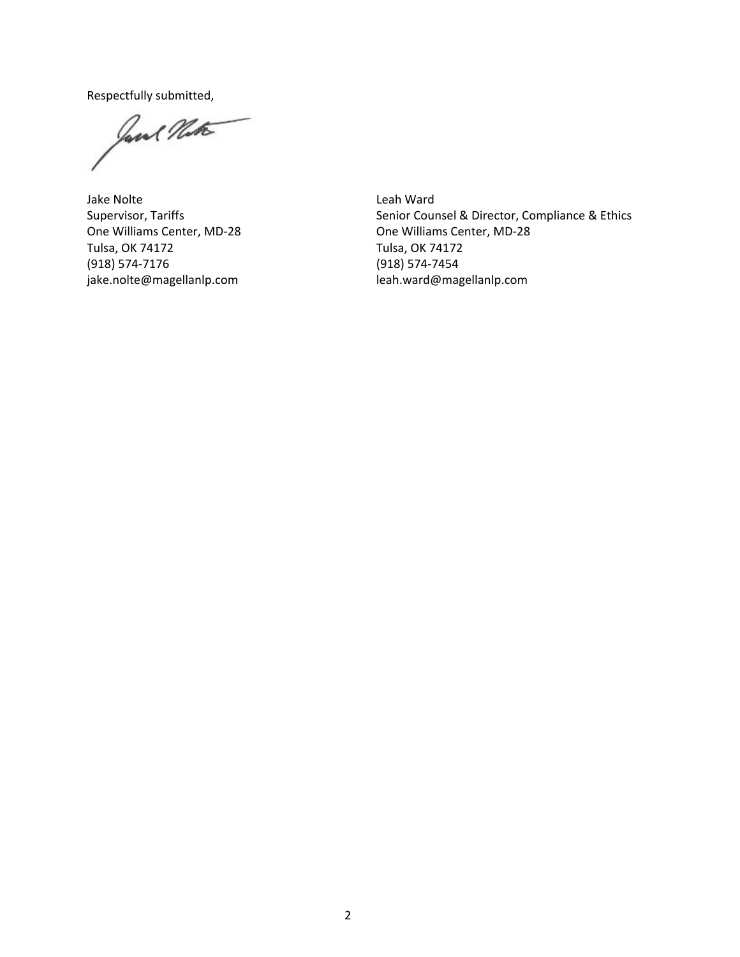Respectfully submitted,

Jane Nat

Jake Nolte Supervisor, Tariffs One Williams Center, MD-28 Tulsa, OK 74172 (918) 574-7176 jake.nolte@magellanlp.com

Leah Ward Senior Counsel & Director, Compliance & Ethics One Williams Center, MD-28 Tulsa, OK 74172 (918) 574-7454 leah.ward@magellanlp.com